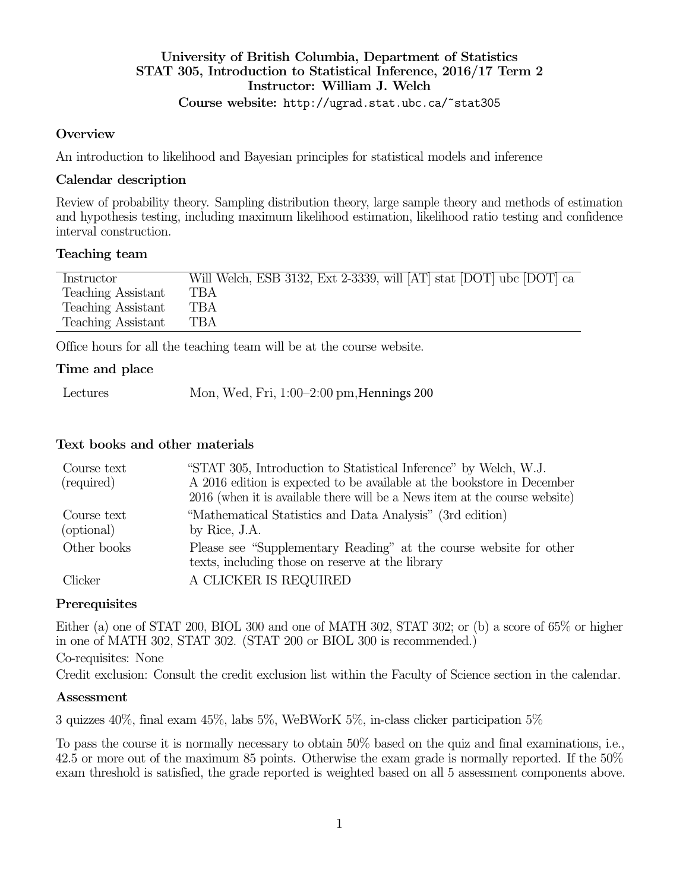## University of British Columbia, Department of Statistics STAT 305, Introduction to Statistical Inference, 2016/17 Term 2 Instructor: William J. Welch Course website: http://ugrad.stat.ubc.ca/~stat305

#### **Overview**

An introduction to likelihood and Bayesian principles for statistical models and inference

#### Calendar description

Review of probability theory. Sampling distribution theory, large sample theory and methods of estimation and hypothesis testing, including maximum likelihood estimation, likelihood ratio testing and confidence interval construction.

### Teaching team

| Instructor         | Will Welch, ESB 3132, Ext 2-3339, will [AT] stat [DOT] ubc [DOT] ca |
|--------------------|---------------------------------------------------------------------|
| Teaching Assistant | TBA                                                                 |
| Teaching Assistant | TBA                                                                 |
| Teaching Assistant | TBA                                                                 |

Office hours for all the teaching team will be at the course website.

### Time and place

| Lectures | Mon, Wed, Fri, 1:00-2:00 pm, Hennings 200 |
|----------|-------------------------------------------|
|----------|-------------------------------------------|

### Text books and other materials

| Course text<br>(required) | "STAT 305, Introduction to Statistical Inference" by Welch, W.J.<br>A 2016 edition is expected to be available at the bookstore in December<br>2016 (when it is available there will be a News item at the course website) |
|---------------------------|----------------------------------------------------------------------------------------------------------------------------------------------------------------------------------------------------------------------------|
| Course text<br>(optional) | "Mathematical Statistics and Data Analysis" (3rd edition)<br>by Rice, J.A.                                                                                                                                                 |
| Other books               | Please see "Supplementary Reading" at the course website for other<br>texts, including those on reserve at the library                                                                                                     |
| Clicker                   | A CLICKER IS REQUIRED                                                                                                                                                                                                      |

### **Prerequisites**

Either (a) one of STAT 200, BIOL 300 and one of MATH 302, STAT 302; or (b) a score of 65% or higher in one of MATH 302, STAT 302. (STAT 200 or BIOL 300 is recommended.) Co-requisites: None

Credit exclusion: Consult the credit exclusion list within the Faculty of Science section in the calendar.

### Assessment

3 quizzes 40%, final exam 45%, labs 5%, WeBWorK 5%, in-class clicker participation 5%

To pass the course it is normally necessary to obtain 50% based on the quiz and final examinations, i.e., 42.5 or more out of the maximum 85 points. Otherwise the exam grade is normally reported. If the 50% exam threshold is satisfied, the grade reported is weighted based on all 5 assessment components above.